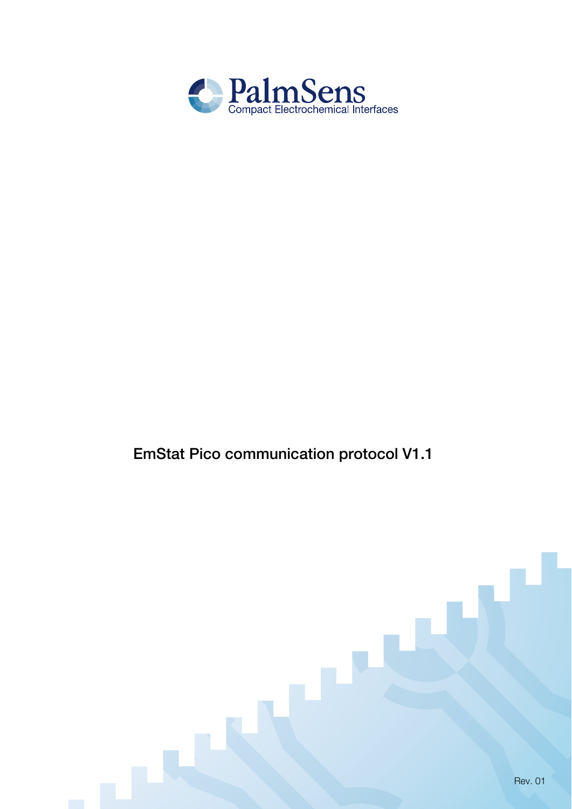

# EmStat Pico communication protocol V1.1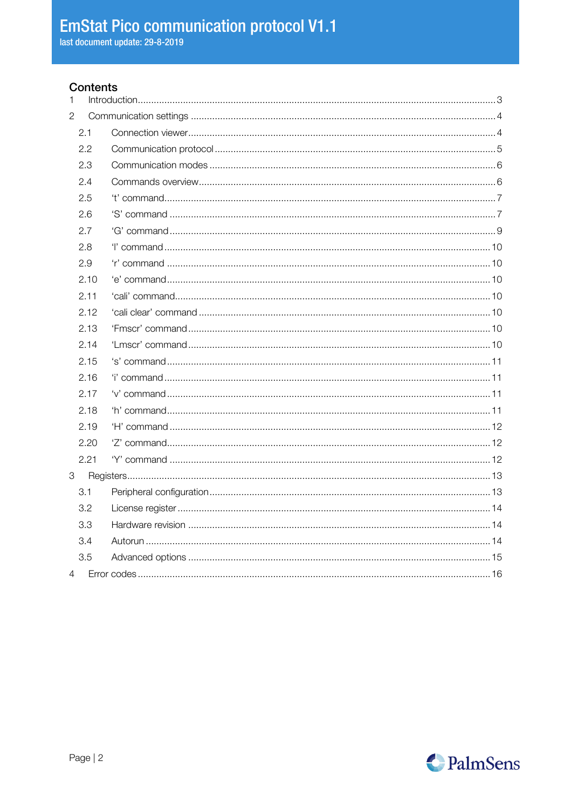### Contents

| 1              |      |  |
|----------------|------|--|
| $\overline{2}$ |      |  |
|                | 2.1  |  |
|                | 2.2  |  |
|                | 2.3  |  |
|                | 2.4  |  |
|                | 2.5  |  |
|                | 2.6  |  |
|                | 2.7  |  |
|                | 2.8  |  |
|                | 2.9  |  |
|                | 2.10 |  |
|                | 2.11 |  |
|                | 2.12 |  |
|                | 2.13 |  |
|                | 2.14 |  |
|                | 2.15 |  |
|                | 2.16 |  |
|                | 2.17 |  |
|                | 2.18 |  |
|                | 2.19 |  |
|                | 2.20 |  |
|                | 2.21 |  |
| 3              |      |  |
|                | 3.1  |  |
|                | 3.2  |  |
|                | 3.3  |  |
|                | 3.4  |  |
|                | 3.5  |  |
| $\overline{4}$ |      |  |

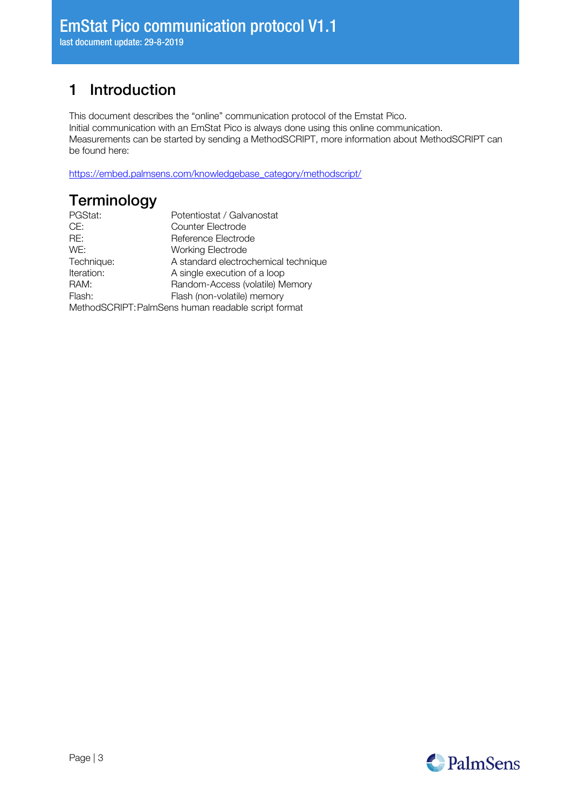# <span id="page-2-0"></span>1 Introduction

This document describes the "online" communication protocol of the Emstat Pico. Initial communication with an EmStat Pico is always done using this online communication. Measurements can be started by sending a MethodSCRIPT, more information about MethodSCRIPT can be found here:

[https://embed.palmsens.com/knowledgebase\\_category/methodscript/](https://embed.palmsens.com/knowledgebase_category/methodscript/)

# **Terminology**

| PGStat:                                             | Potentiostat / Galvanostat           |  |  |
|-----------------------------------------------------|--------------------------------------|--|--|
| CE:                                                 | Counter Electrode                    |  |  |
| RE:                                                 | Reference Electrode                  |  |  |
| WE:                                                 | <b>Working Electrode</b>             |  |  |
| Technique:                                          | A standard electrochemical technique |  |  |
| Iteration:                                          | A single execution of a loop         |  |  |
| RAM:                                                | Random-Access (volatile) Memory      |  |  |
| Flash:                                              | Flash (non-volatile) memory          |  |  |
| MethodSCRIPT: PalmSens human readable script format |                                      |  |  |

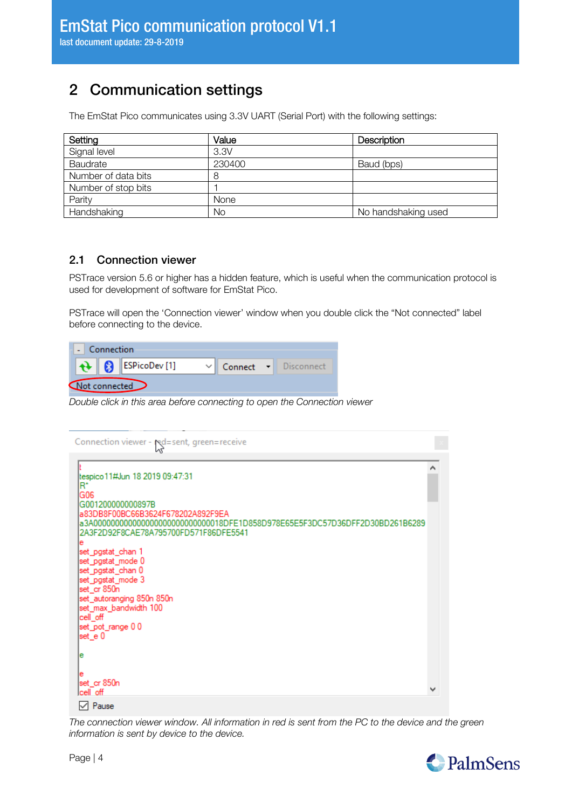# <span id="page-3-0"></span>2 Communication settings

The EmStat Pico communicates using 3.3V UART (Serial Port) with the following settings:

| Setting             | Value  | <b>Description</b>  |
|---------------------|--------|---------------------|
| Signal level        | 3.3V   |                     |
| Baudrate            | 230400 | Baud (bps)          |
| Number of data bits | 8      |                     |
| Number of stop bits |        |                     |
| Parity              | None   |                     |
| Handshaking         | No     | No handshaking used |

## <span id="page-3-1"></span>2.1 Connection viewer

PSTrace version 5.6 or higher has a hidden feature, which is useful when the communication protocol is used for development of software for EmStat Pico.

PSTrace will open the 'Connection viewer' window when you double click the "Not connected" label before connecting to the device.

| Connection    |  |  |                                    |  |                      |  |
|---------------|--|--|------------------------------------|--|----------------------|--|
|               |  |  | $\bigoplus$ <b>B</b> ESPicoDev [1] |  | Connect - Disconnect |  |
| Not connected |  |  |                                    |  |                      |  |

*Double click in this area before connecting to open the Connection viewer*

| Connection viewer - red=sent, green=receive                                                                                                                                                                                                                                                                                                                                                                                   |  |
|-------------------------------------------------------------------------------------------------------------------------------------------------------------------------------------------------------------------------------------------------------------------------------------------------------------------------------------------------------------------------------------------------------------------------------|--|
| tespico 11#Jun 18 2019 09:47:31<br>ĸ.<br>G06<br>G001200000000897B<br>a83DB8F00BC66B3624F678202A892F9EA<br>a3A000000000000000000000000000018DFE1D858D978E65E5F3DC57D36DFF2D30BD261B6289<br>2A3F2D92F8CAE78A795700FD571F86DFE5541<br>е<br>set_pgstat_chan 1<br>set_pgstat_mode 0<br>set_pgstat_chan 0<br>set_pgstat_mode 3<br>set_cr 850n<br>set_autoranging 850n 850n<br>set_max_bandwidth 100<br>cell_off<br>set_pot_range 00 |  |
| set_e 0<br>е<br>е<br>set_cr 850n<br>Icell off                                                                                                                                                                                                                                                                                                                                                                                 |  |
| l∕l Pause                                                                                                                                                                                                                                                                                                                                                                                                                     |  |

*The connection viewer window. All information in red is sent from the PC to the device and the green information is sent by device to the device.*

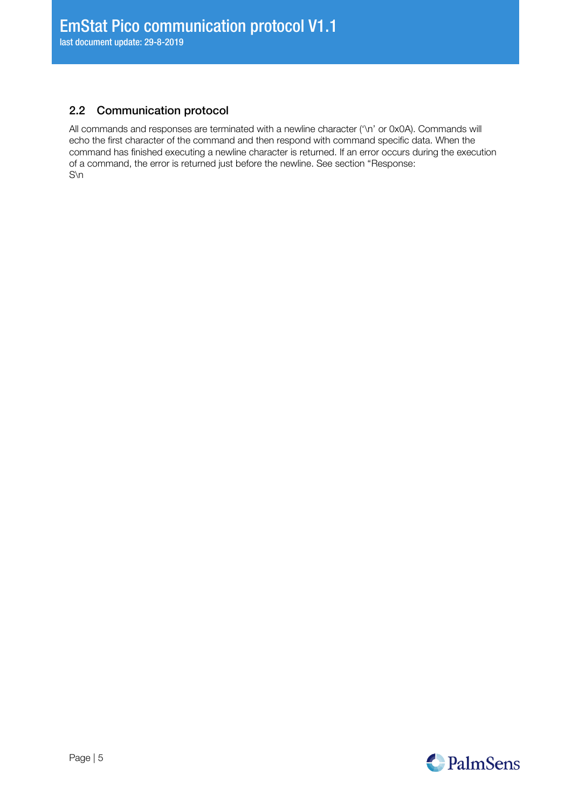## <span id="page-4-0"></span>2.2 Communication protocol

All commands and responses are terminated with a newline character ('\n' or 0x0A). Commands will echo the first character of the command and then respond with command specific data. When the command has finished executing a newline character is returned. If an error occurs during the execution [of a command, the error is returned just before the newline. See section "](#page-14-1)[Response:](#page-14-1) S\n

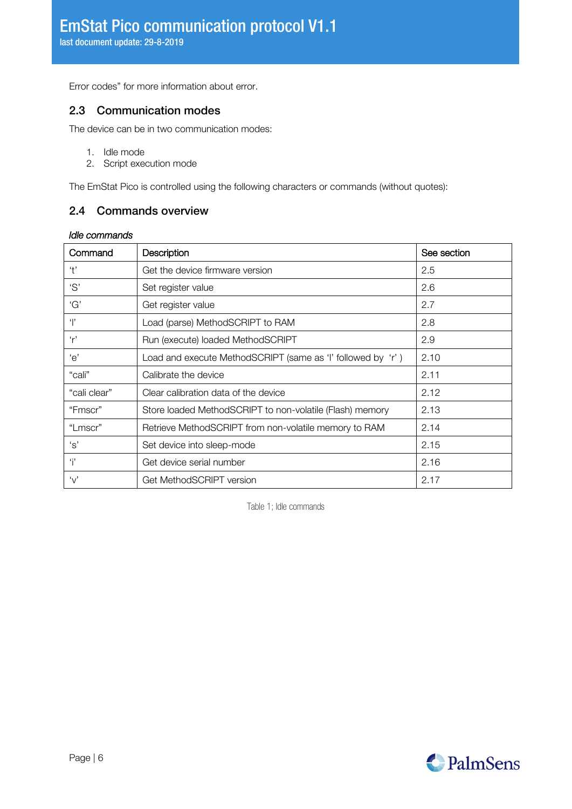<span id="page-5-0"></span>[Error codes](#page-14-1)" for more information about error.

## 2.3 Communication modes

The device can be in two communication modes:

- 1. Idle mode
- 2. Script execution mode

<span id="page-5-1"></span>The EmStat Pico is controlled using the following characters or commands (without quotes):

## 2.4 Commands overview

#### *Idle commands*

| Command                      | Description                                                 | See section |
|------------------------------|-------------------------------------------------------------|-------------|
| 't'                          | Get the device firmware version                             | 2.5         |
| 'S'                          | Set register value                                          | 2.6         |
| 'G'                          | Get register value                                          | 2.7         |
| $^{\prime}$ $\vert^{\prime}$ | Load (parse) MethodSCRIPT to RAM                            | 2.8         |
| r'                           | Run (execute) loaded MethodSCRIPT                           | 2.9         |
| 'e'                          | Load and execute MethodSCRIPT (same as 'I' followed by 'r') | 2.10        |
| "cali"                       | Calibrate the device                                        | 2.11        |
| "cali clear"                 | Clear calibration data of the device                        | 2.12        |
| "Fmscr"                      | Store loaded MethodSCRIPT to non-volatile (Flash) memory    | 2.13        |
| "Lmscr"                      | Retrieve MethodSCRIPT from non-volatile memory to RAM       | 2.14        |
| ʻs'                          | Set device into sleep-mode                                  | 2.15        |
| i                            | Get device serial number                                    | 2.16        |
| $\mathbf{v}'$                | Get MethodSCRIPT version                                    | 2.17        |

Table 1; Idle commands

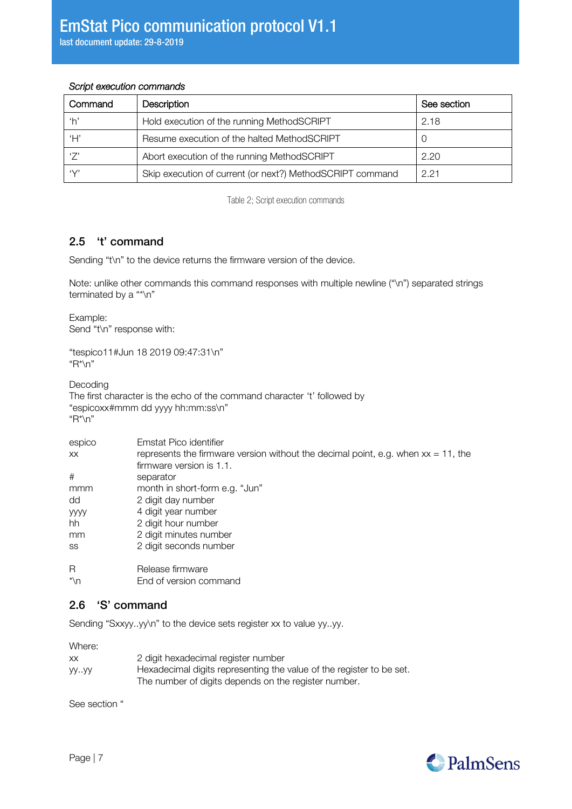### *Script execution commands*

| Command    | <b>Description</b>                                        | See section |
|------------|-----------------------------------------------------------|-------------|
| ʻh'        | Hold execution of the running MethodSCRIPT                | 2.18        |
| Ή,         | Resume execution of the halted MethodSCRIPT               | U           |
|            | Abort execution of the running MethodSCRIPT               | 2.20        |
| $\sqrt{2}$ | Skip execution of current (or next?) MethodSCRIPT command | 221         |

Table 2; Script execution commands

## <span id="page-6-0"></span>2.5 't' command

Sending "t\n" to the device returns the firmware version of the device.

Note: unlike other commands this command responses with multiple newline ("\n") separated strings terminated by a "\*\n"

Example: Send "t\n" response with:

"tespico11#Jun 18 2019 09:47:31\n" "R\*\n"

Decoding

The first character is the echo of the command character 't' followed by "espicoxx#mmm dd yyyy hh:mm:ss\n" "R\*\n"

| espico      | Emstat Pico identifier                                                               |
|-------------|--------------------------------------------------------------------------------------|
| XX.         | represents the firmware version without the decimal point, e.g. when $xx = 11$ , the |
|             | firmware version is 1.1.                                                             |
| #           | separator                                                                            |
| mmm         | month in short-form e.g. "Jun"                                                       |
| dd          | 2 digit day number                                                                   |
| <b>yyyy</b> | 4 digit year number                                                                  |
| hh          | 2 digit hour number                                                                  |
| mm          | 2 digit minutes number                                                               |
| SS          | 2 digit seconds number                                                               |
| R           | Release firmware                                                                     |
| $*$ \n      | End of version command                                                               |

## <span id="page-6-1"></span>2.6 'S' command

Sending "Sxxyy..yy\n" to the device sets register xx to value yy..yy.

Where:

| ХX   | 2 digit hexadecimal register number                                  |
|------|----------------------------------------------------------------------|
| уууу | Hexadecimal digits representing the value of the register to be set. |
|      | The number of digits depends on the register number.                 |

See section ["](#page-11-3)

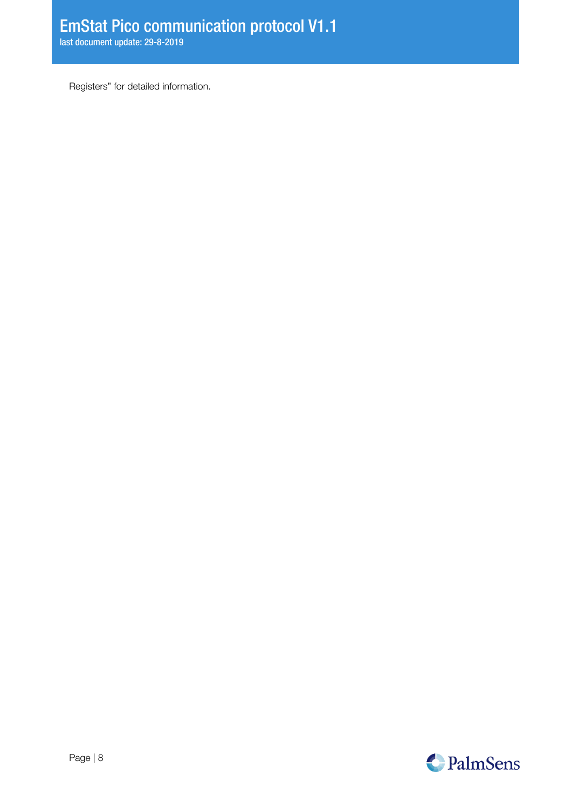[Registers](#page-11-3)" for detailed information.

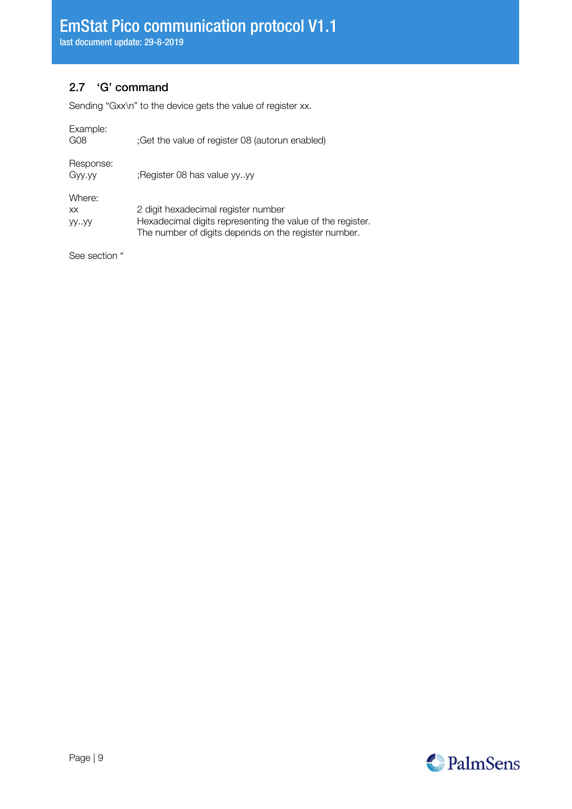## <span id="page-8-0"></span>2.7 'G' command

Sending "Gxx\n" to the device gets the value of register xx.

| Example:<br>G <sub>08</sub> | ;Get the value of register 08 (autorun enabled)                                                                                                           |
|-----------------------------|-----------------------------------------------------------------------------------------------------------------------------------------------------------|
| Response:<br>Gyy.yy         | :Register 08 has value yyyy                                                                                                                               |
| Where:<br>XX.<br>yyyy       | 2 digit hexadecimal register number<br>Hexadecimal digits representing the value of the register.<br>The number of digits depends on the register number. |
| See section "               |                                                                                                                                                           |

PalmSens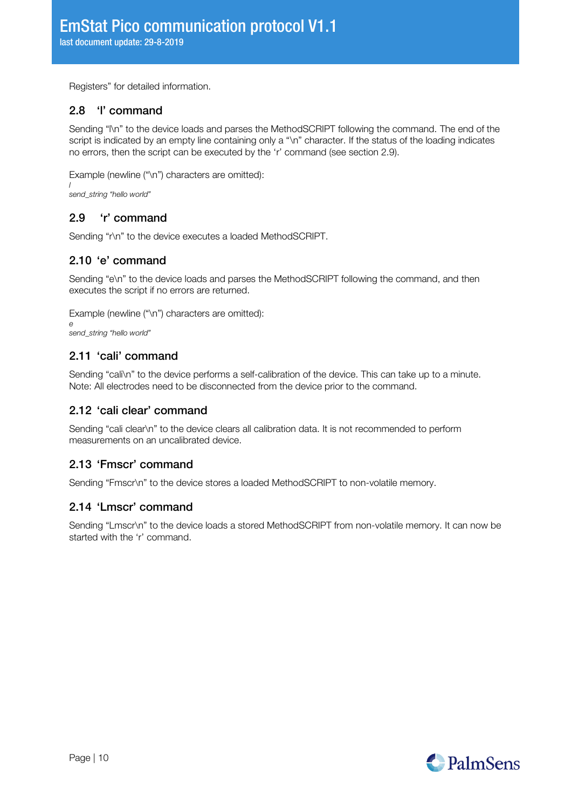<span id="page-9-0"></span>[Registers](#page-11-3)" for detailed information.

## 2.8 'l' command

Sending "l\n" to the device loads and parses the MethodSCRIPT following the command. The end of the script is indicated by an empty line containing only a "\n" character. If the status of the loading indicates no errors, then the script can be executed by the 'r' command (see section [2.9\)](#page-9-7).

Example (newline ("\n") characters are omitted):

*l send\_string "hello world"*

## <span id="page-9-7"></span><span id="page-9-1"></span>2.9 'r' command

<span id="page-9-2"></span>Sending "r\n" to the device executes a loaded MethodSCRIPT.

## 2.10 'e' command

Sending "e\n" to the device loads and parses the MethodSCRIPT following the command, and then executes the script if no errors are returned.

Example (newline ("\n") characters are omitted):

*e send\_string "hello world"*

## <span id="page-9-3"></span>2.11 'cali' command

Sending "cali\n" to the device performs a self-calibration of the device. This can take up to a minute. Note: All electrodes need to be disconnected from the device prior to the command.

### <span id="page-9-4"></span>2.12 'cali clear' command

Sending "cali clear\n" to the device clears all calibration data. It is not recommended to perform measurements on an uncalibrated device.

## <span id="page-9-5"></span>2.13 'Fmscr' command

<span id="page-9-6"></span>Sending "Fmscr\n" to the device stores a loaded MethodSCRIPT to non-volatile memory.

## 2.14 'Lmscr' command

Sending "Lmscr\n" to the device loads a stored MethodSCRIPT from non-volatile memory. It can now be started with the 'r' command.

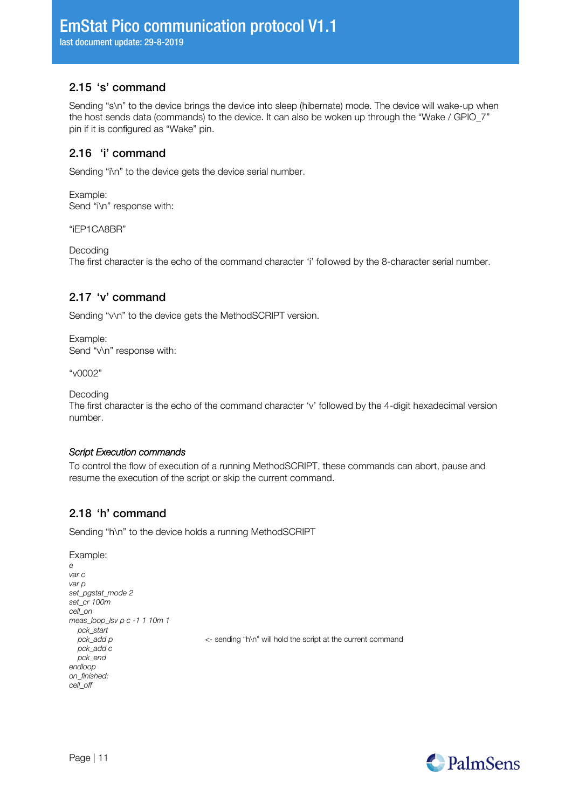## <span id="page-10-0"></span>2.15 's' command

Sending "s\n" to the device brings the device into sleep (hibernate) mode. The device will wake-up when the host sends data (commands) to the device. It can also be woken up through the "Wake / GPIO\_7" pin if it is configured as "Wake" pin.

## <span id="page-10-1"></span>2.16 'i' command

Sending "i\n" to the device gets the device serial number.

Example: Send "i\n" response with:

"iEP1CA8BR"

Decoding

The first character is the echo of the command character 'i' followed by the 8-character serial number.

## <span id="page-10-2"></span>2.17 'v' command

Sending "v\n" to the device gets the MethodSCRIPT version.

Example: Send "v\n" response with:

"v0002"

Decoding

The first character is the echo of the command character 'v' followed by the 4-digit hexadecimal version number.

### *Script Execution commands*

To control the flow of execution of a running MethodSCRIPT, these commands can abort, pause and resume the execution of the script or skip the current command.

## <span id="page-10-3"></span>2.18 'h' command

Sending "h\n" to the device holds a running MethodSCRIPT

```
Example:
e
var c
var p
set_pgstat_mode 2
set_cr 100m
cell_on
meas_loop_lsv p c -1 1 10m 1
   pck_start
                                        \epsilon- sending "h\n" will hold the script at the current command
   pck_add c
   pck_end
endloop
on_finished:
cell_off
```
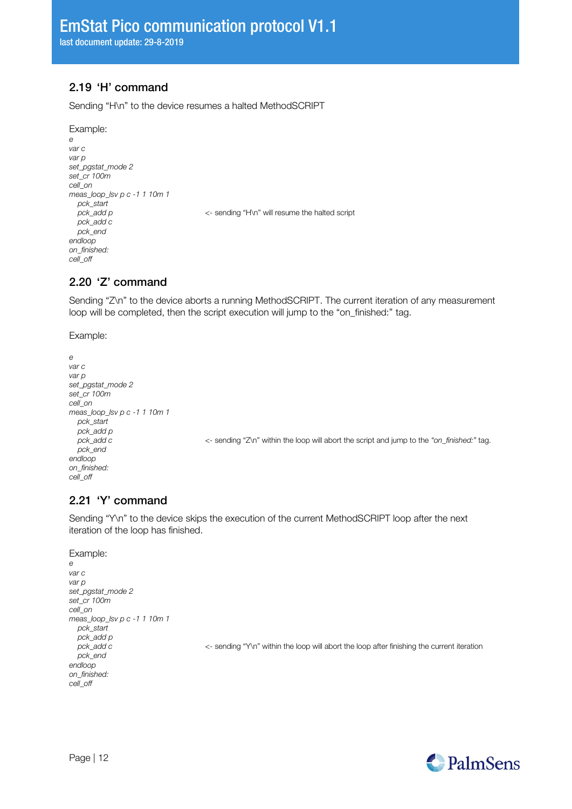## <span id="page-11-0"></span>2.19 'H' command

Sending "H\n" to the device resumes a halted MethodSCRIPT

#### Example:

```
e
var c
var p
set_pgstat_mode 2
set_cr 100m
cell_on
meas_loop_lsv p c -1 1 10m 1
   pck_start
                                       <- sending "H\n" will resume the halted script
  pck_add c
   pck_end
endloop
on_finished:
cell_off
```
### <span id="page-11-1"></span>2.20 'Z' command

Sending "Z\n" to the device aborts a running MethodSCRIPT. The current iteration of any measurement loop will be completed, then the script execution will jump to the "on finished:" tag.

#### Example:

```
e
var c
var p
set_pgstat_mode 2
set_cr 100m
cell_on
meas_loop_lsv p c -1 1 10m 1
  pck_start
   pck_add p
   pck_end
endloop
on_finished:
cell_off
```
 *pck\_add c* <- sending "Z\n" within the loop will abort the script and jump to the *"on\_finished:"* tag.

## <span id="page-11-2"></span>2.21 'Y' command

Sending "Y\n" to the device skips the execution of the current MethodSCRIPT loop after the next iteration of the loop has finished.

#### Example:

```
e
var c
var p
set_pgstat_mode 2
set_cr 100m
cell_on
meas_loop_lsv p c -1 1 10m 1
   pck_start
   pck_add p
                                           pck_add c <- sending "Y\n" within the loop will abort the loop after finishing the current iteration
   pck_end
endloop
on_finished:
cell_off
```
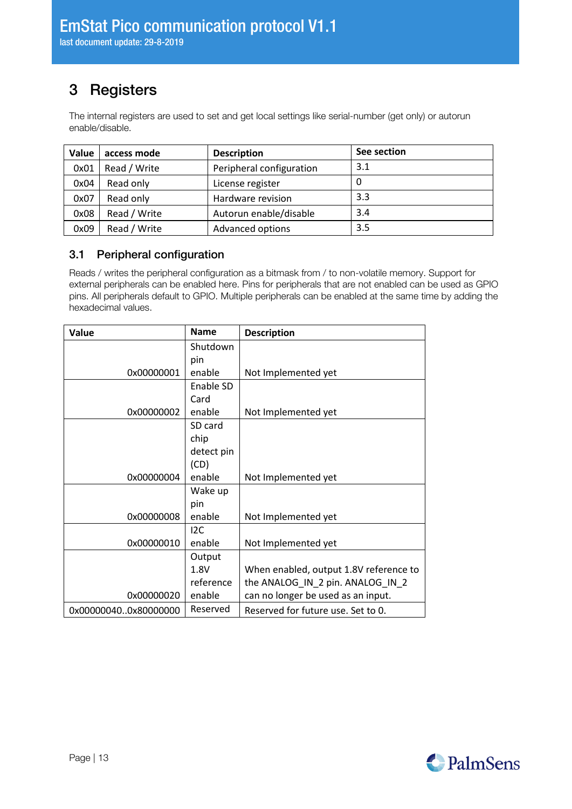# <span id="page-12-0"></span>3 Registers

The internal registers are used to set and get local settings like serial-number (get only) or autorun enable/disable.

| Value | access mode  | <b>Description</b>       | See section |
|-------|--------------|--------------------------|-------------|
| 0x01  | Read / Write | Peripheral configuration | 3.1         |
| 0x04  | Read only    | License register         | O           |
| 0x07  | Read only    | Hardware revision        | 3.3         |
| 0x08  | Read / Write | Autorun enable/disable   | 3.4         |
| 0x09  | Read / Write | <b>Advanced options</b>  | 3.5         |

## <span id="page-12-1"></span>3.1 Peripheral configuration

Reads / writes the peripheral configuration as a bitmask from / to non-volatile memory. Support for external peripherals can be enabled here. Pins for peripherals that are not enabled can be used as GPIO pins. All peripherals default to GPIO. Multiple peripherals can be enabled at the same time by adding the hexadecimal values.

<span id="page-12-2"></span>

| Value                | <b>Name</b> | <b>Description</b>                     |
|----------------------|-------------|----------------------------------------|
|                      | Shutdown    |                                        |
|                      | pin         |                                        |
| 0x00000001           | enable      | Not Implemented yet                    |
|                      | Enable SD   |                                        |
|                      | Card        |                                        |
| 0x00000002           | enable      | Not Implemented yet                    |
|                      | SD card     |                                        |
|                      | chip        |                                        |
|                      | detect pin  |                                        |
|                      | (CD)        |                                        |
| 0x00000004           | enable      | Not Implemented yet                    |
|                      | Wake up     |                                        |
|                      | pin         |                                        |
| 0x00000008           | enable      | Not Implemented yet                    |
|                      | 12C         |                                        |
| 0x00000010           | enable      | Not Implemented yet                    |
|                      | Output      |                                        |
|                      | 1.8V        | When enabled, output 1.8V reference to |
|                      | reference   | the ANALOG_IN_2 pin. ANALOG_IN_2       |
| 0x00000020           | enable      | can no longer be used as an input.     |
| 0x000000400x80000000 | Reserved    | Reserved for future use. Set to 0.     |

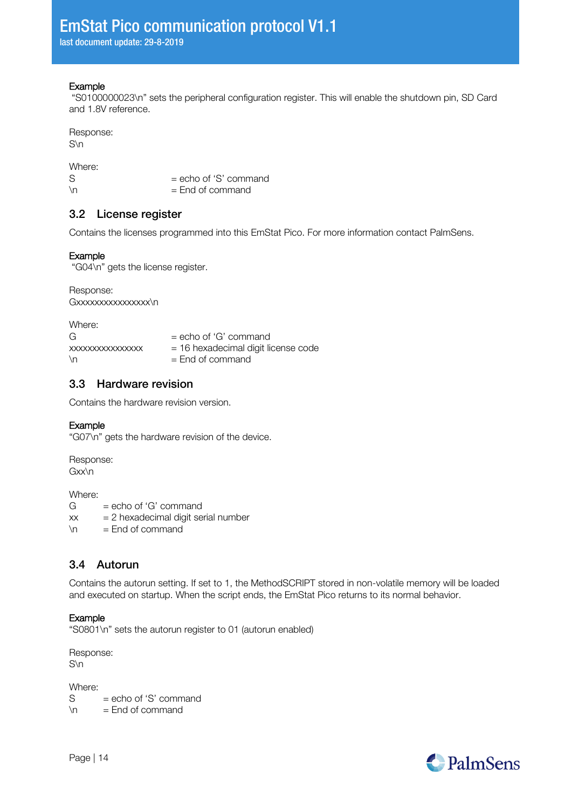#### **Example**

"S0100000023\n" sets the peripheral configuration register. This will enable the shutdown pin, SD Card and 1.8V reference.

Response: S\n

Where:<br>S  $S = echo of 'S' command$ <br>  $= Fnd of command$  $=$  End of command

### <span id="page-13-0"></span>3.2 License register

Contains the licenses programmed into this EmStat Pico. For more information contact PalmSens.

#### Example

"G04\n" gets the license register.

Response: Gxxxxxxxxxxxxxxxx\n

| Where:           |                                     |
|------------------|-------------------------------------|
| G                | $=$ echo of 'G' command             |
| XXXXXXXXXXXXXXXX | = 16 hexadecimal digit license code |
| $\ln$            | $=$ End of command                  |
|                  |                                     |

## <span id="page-13-1"></span>3.3 Hardware revision

Contains the hardware revision version.

#### Example

"G07\n" gets the hardware revision of the device.

Response: Gxx\n

Where:  $G = echo of 'G' command$  $xx = 2$  hexadecimal digit serial number  $\ln$  = End of command

## <span id="page-13-2"></span>3.4 Autorun

Contains the autorun setting. If set to 1, the MethodSCRIPT stored in non-volatile memory will be loaded and executed on startup. When the script ends, the EmStat Pico returns to its normal behavior.

### Example

"S0801\n" sets the autorun register to 01 (autorun enabled)

Response: S\n

Where:<br>S

 $S = echo of 'S' command$ <br>  $\ln = \text{End of command}$  $=$  End of command

Page | 14

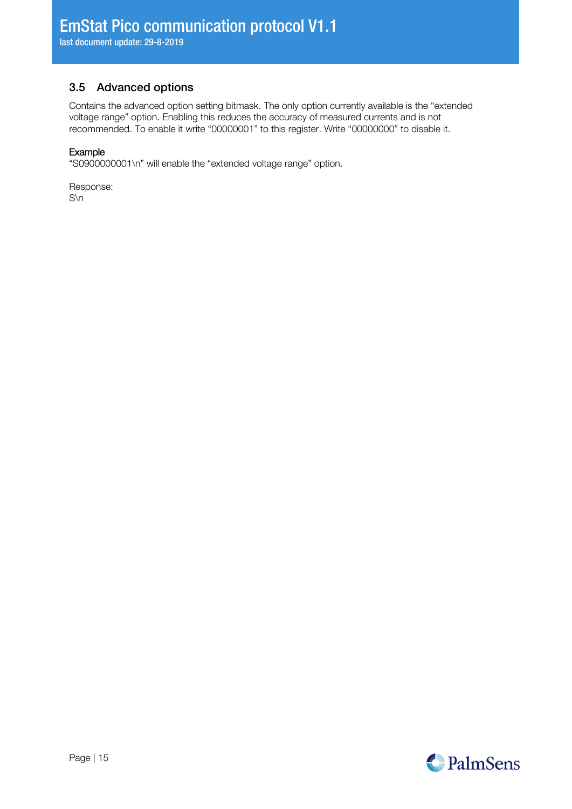## <span id="page-14-0"></span>3.5 Advanced options

Contains the advanced option setting bitmask. The only option currently available is the "extended voltage range" option. Enabling this reduces the accuracy of measured currents and is not recommended. To enable it write "00000001" to this register. Write "00000000" to disable it.

#### Example

"S0900000001\n" will enable the "extended voltage range" option.

<span id="page-14-1"></span>Response: S\n

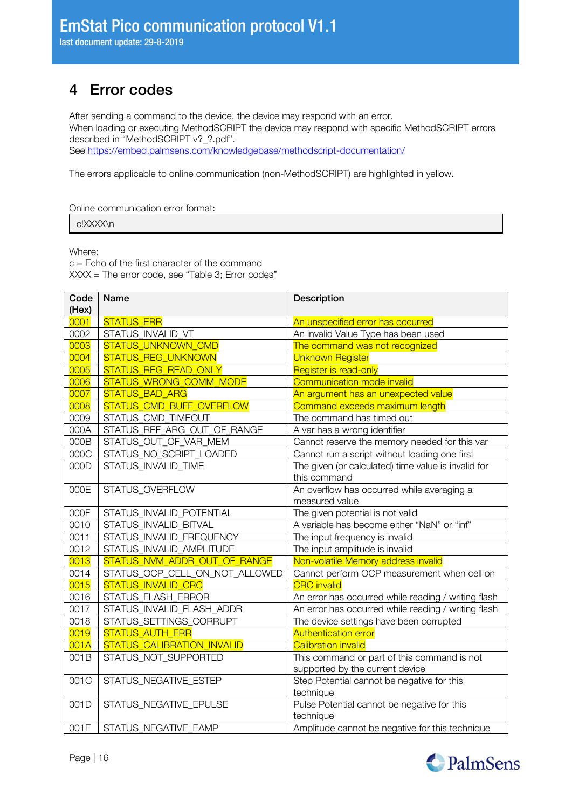# <span id="page-15-0"></span>4 Error codes

After sending a command to the device, the device may respond with an error.

When loading or executing MethodSCRIPT the device may respond with specific MethodSCRIPT errors described in "MethodSCRIPT v?\_?.pdf".

See<https://embed.palmsens.com/knowledgebase/methodscript-documentation/>

The errors applicable to online communication (non-MethodSCRIPT) are highlighted in yellow.

Online communication error format:

c!XXXX\n

Where:

c = Echo of the first character of the command XXXX = The error code, see "[Table 3; Error codes](#page-16-0)"

| Code  | Name                           | Description                                         |
|-------|--------------------------------|-----------------------------------------------------|
| (Hex) |                                |                                                     |
| 0001  | <b>STATUS_ERR</b>              | An unspecified error has occurred                   |
| 0002  | STATUS_INVALID_VT              | An invalid Value Type has been used                 |
| 0003  | STATUS_UNKNOWN_CMD             | The command was not recognized                      |
| 0004  | <b>STATUS_REG_UNKNOWN</b>      | <b>Unknown Register</b>                             |
| 0005  | STATUS_REG_READ_ONLY           | Register is read-only                               |
| 0006  | STATUS_WRONG_COMM_MODE         | Communication mode invalid                          |
| 0007  | <b>STATUS BAD ARG</b>          | An argument has an unexpected value                 |
| 0008  | STATUS_CMD_BUFF_OVERFLOW       | Command exceeds maximum length                      |
| 0009  | STATUS_CMD_TIMEOUT             | The command has timed out                           |
| 000A  | STATUS_REF_ARG_OUT_OF_RANGE    | A var has a wrong identifier                        |
| 000B  | STATUS_OUT_OF_VAR_MEM          | Cannot reserve the memory needed for this var       |
| 000C  | STATUS_NO_SCRIPT_LOADED        | Cannot run a script without loading one first       |
| 000D  | STATUS_INVALID_TIME            | The given (or calculated) time value is invalid for |
|       |                                | this command                                        |
| 000E  | STATUS_OVERFLOW                | An overflow has occurred while averaging a          |
|       |                                | measured value                                      |
| 000F  | STATUS_INVALID_POTENTIAL       | The given potential is not valid                    |
| 0010  | STATUS_INVALID_BITVAL          | A variable has become either "NaN" or "inf"         |
| 0011  | STATUS_INVALID_FREQUENCY       | The input frequency is invalid                      |
| 0012  | STATUS_INVALID_AMPLITUDE       | The input amplitude is invalid                      |
| 0013  | STATUS_NVM_ADDR_OUT_OF_RANGE   | Non-volatile Memory address invalid                 |
| 0014  | STATUS_OCP_CELL_ON_NOT_ALLOWED | Cannot perform OCP measurement when cell on         |
| 0015  | <b>STATUS_INVALID_CRC</b>      | <b>CRC</b> invalid                                  |
| 0016  | STATUS_FLASH_ERROR             | An error has occurred while reading / writing flash |
| 0017  | STATUS_INVALID_FLASH_ADDR      | An error has occurred while reading / writing flash |
| 0018  | STATUS_SETTINGS_CORRUPT        | The device settings have been corrupted             |
| 0019  | STATUS_AUTH_ERR                | <b>Authentication error</b>                         |
| 001A  | STATUS_CALIBRATION_INVALID     | <b>Calibration invalid</b>                          |
| 001B  | STATUS_NOT_SUPPORTED           | This command or part of this command is not         |
|       |                                | supported by the current device                     |
| 001C  | STATUS_NEGATIVE_ESTEP          | Step Potential cannot be negative for this          |
|       |                                | technique                                           |
| 001D  | STATUS_NEGATIVE_EPULSE         | Pulse Potential cannot be negative for this         |
|       |                                | technique                                           |
| 001E  | STATUS_NEGATIVE_EAMP           | Amplitude cannot be negative for this technique     |